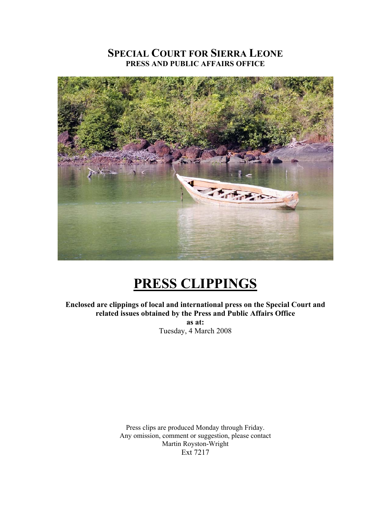## **SPECIAL COURT FOR SIERRA LEONE PRESS AND PUBLIC AFFAIRS OFFICE**



# **PRESS CLIPPINGS**

**Enclosed are clippings of local and international press on the Special Court and related issues obtained by the Press and Public Affairs Office as at:**  Tuesday, 4 March 2008

> Press clips are produced Monday through Friday. Any omission, comment or suggestion, please contact Martin Royston-Wright Ext 7217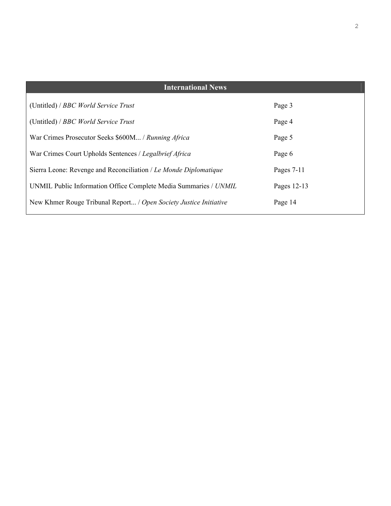| <b>International News</b>                                         |              |
|-------------------------------------------------------------------|--------------|
| (Untitled) / BBC World Service Trust                              | Page 3       |
| (Untitled) / BBC World Service Trust                              | Page 4       |
| War Crimes Prosecutor Seeks \$600M / Running Africa               | Page 5       |
| War Crimes Court Upholds Sentences / Legalbrief Africa            | Page 6       |
| Sierra Leone: Revenge and Reconciliation / Le Monde Diplomatique  | Pages $7-11$ |
| UNMIL Public Information Office Complete Media Summaries / UNMIL  | Pages 12-13  |
| New Khmer Rouge Tribunal Report / Open Society Justice Initiative | Page 14      |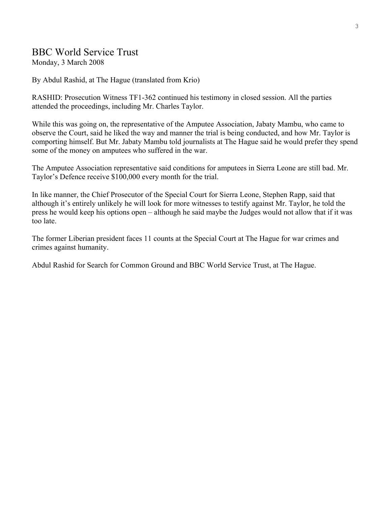## BBC World Service Trust

Monday, 3 March 2008

By Abdul Rashid, at The Hague (translated from Krio)

RASHID: Prosecution Witness TF1-362 continued his testimony in closed session. All the parties attended the proceedings, including Mr. Charles Taylor.

While this was going on, the representative of the Amputee Association, Jabaty Mambu, who came to observe the Court, said he liked the way and manner the trial is being conducted, and how Mr. Taylor is comporting himself. But Mr. Jabaty Mambu told journalists at The Hague said he would prefer they spend some of the money on amputees who suffered in the war.

The Amputee Association representative said conditions for amputees in Sierra Leone are still bad. Mr. Taylor's Defence receive \$100,000 every month for the trial.

In like manner, the Chief Prosecutor of the Special Court for Sierra Leone, Stephen Rapp, said that although it's entirely unlikely he will look for more witnesses to testify against Mr. Taylor, he told the press he would keep his options open – although he said maybe the Judges would not allow that if it was too late.

The former Liberian president faces 11 counts at the Special Court at The Hague for war crimes and crimes against humanity.

Abdul Rashid for Search for Common Ground and BBC World Service Trust, at The Hague.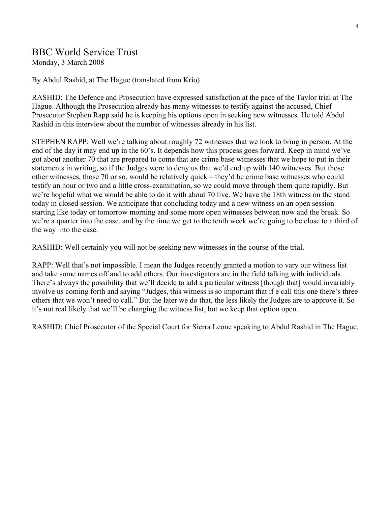## BBC World Service Trust

Monday, 3 March 2008

By Abdul Rashid, at The Hague (translated from Krio)

RASHID: The Defence and Prosecution have expressed satisfaction at the pace of the Taylor trial at The Hague. Although the Prosecution already has many witnesses to testify against the accused, Chief Prosecutor Stephen Rapp said he is keeping his options open in seeking new witnesses. He told Abdul Rashid in this interview about the number of witnesses already in his list.

STEPHEN RAPP: Well we're talking about roughly 72 witnesses that we look to bring in person. At the end of the day it may end up in the 60's. It depends how this process goes forward. Keep in mind we've got about another 70 that are prepared to come that are crime base witnesses that we hope to put in their statements in writing, so if the Judges were to deny us that we'd end up with 140 witnesses. But those other witnesses, those 70 or so, would be relatively quick – they'd be crime base witnesses who could testify an hour or two and a little cross-examination, so we could move through them quite rapidly. But we're hopeful what we would be able to do it with about 70 live. We have the 18th witness on the stand today in closed session. We anticipate that concluding today and a new witness on an open session starting like today or tomorrow morning and some more open witnesses between now and the break. So we're a quarter into the case, and by the time we get to the tenth week we're going to be close to a third of the way into the case.

RASHID: Well certainly you will not be seeking new witnesses in the course of the trial.

RAPP: Well that's not impossible. I mean the Judges recently granted a motion to vary our witness list and take some names off and to add others. Our investigators are in the field talking with individuals. There's always the possibility that we'll decide to add a particular witness [though that] would invariably involve us coming forth and saying "Judges, this witness is so important that if e call this one there's three others that we won't need to call." But the later we do that, the less likely the Judges are to approve it. So it's not real likely that we'll be changing the witness list, but we keep that option open.

RASHID: Chief Prosecutor of the Special Court for Sierra Leone speaking to Abdul Rashid in The Hague.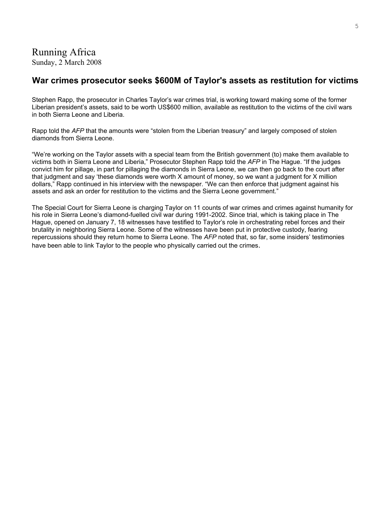## Running Africa

Sunday, 2 March 2008

## **War crimes prosecutor seeks \$600M of Taylor's assets as restitution for victims**

Stephen Rapp, the prosecutor in Charles Taylor's war crimes trial, is working toward making some of the former Liberian president's assets, said to be worth US\$600 million, available as restitution to the victims of the civil wars in both Sierra Leone and Liberia.

Rapp told the *AFP* that the amounts were "stolen from the Liberian treasury" and largely composed of stolen diamonds from Sierra Leone.

"We're working on the Taylor assets with a special team from the British government (to) make them available to victims both in Sierra Leone and Liberia," Prosecutor Stephen Rapp told the *AFP* in The Hague. "If the judges convict him for pillage, in part for pillaging the diamonds in Sierra Leone, we can then go back to the court after that judgment and say 'these diamonds were worth X amount of money, so we want a judgment for X million dollars," Rapp continued in his interview with the newspaper. "We can then enforce that judgment against his assets and ask an order for restitution to the victims and the Sierra Leone government."

The Special Court for Sierra Leone is charging Taylor on 11 counts of war crimes and crimes against humanity for his role in Sierra Leone's diamond-fuelled civil war during 1991-2002. Since trial, which is taking place in The Hague, opened on January 7, 18 witnesses have testified to Taylor's role in orchestrating rebel forces and their brutality in neighboring Sierra Leone. Some of the witnesses have been put in protective custody, fearing repercussions should they return home to Sierra Leone. The *AFP* noted that, so far, some insiders' testimonies have been able to link Taylor to the people who physically carried out the crimes.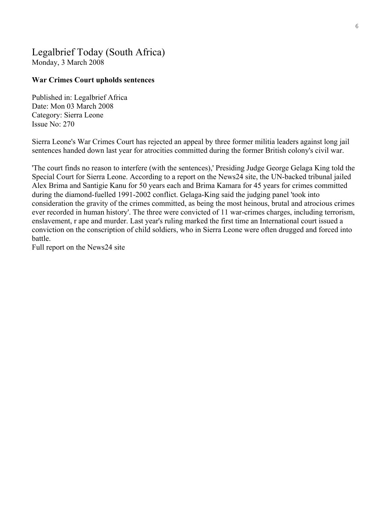## Legalbrief Today (South Africa)

Monday, 3 March 2008

#### **War Crimes Court upholds sentences**

Published in: Legalbrief Africa Date: Mon 03 March 2008 Category: Sierra Leone Issue No: 270

Sierra Leone's War Crimes Court has rejected an appeal by three former militia leaders against long jail sentences handed down last year for atrocities committed during the former British colony's civil war.

'The court finds no reason to interfere (with the sentences),' Presiding Judge George Gelaga King told the Special Court for Sierra Leone. According to a report on the News24 site, the UN-backed tribunal jailed Alex Brima and Santigie Kanu for 50 years each and Brima Kamara for 45 years for crimes committed during the diamond-fuelled 1991-2002 conflict. Gelaga-King said the judging panel 'took into consideration the gravity of the crimes committed, as being the most heinous, brutal and atrocious crimes ever recorded in human history'. The three were convicted of 11 war-crimes charges, including terrorism, enslavement, r ape and murder. Last year's ruling marked the first time an International court issued a conviction on the conscription of child soldiers, who in Sierra Leone were often drugged and forced into battle.

Full report on the News24 site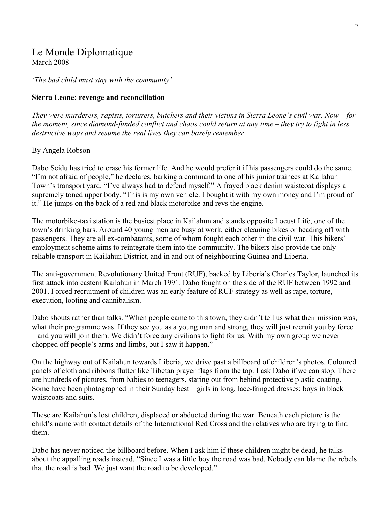## Le Monde Diplomatique

March 2008

*'The bad child must stay with the community'* 

#### **Sierra Leone: revenge and reconciliation**

*They were murderers, rapists, torturers, butchers and their victims in Sierra Leone's civil war. Now – for the moment, since diamond-funded conflict and chaos could return at any time – they try to fight in less destructive ways and resume the real lives they can barely remember* 

#### By Angela Robson

Dabo Seidu has tried to erase his former life. And he would prefer it if his passengers could do the same. "I'm not afraid of people," he declares, barking a command to one of his junior trainees at Kailahun Town's transport yard. "I've always had to defend myself." A frayed black denim waistcoat displays a supremely toned upper body. "This is my own vehicle. I bought it with my own money and I'm proud of it." He jumps on the back of a red and black motorbike and revs the engine.

The motorbike-taxi station is the busiest place in Kailahun and stands opposite Locust Life, one of the town's drinking bars. Around 40 young men are busy at work, either cleaning bikes or heading off with passengers. They are all ex-combatants, some of whom fought each other in the civil war. This bikers' employment scheme aims to reintegrate them into the community. The bikers also provide the only reliable transport in Kailahun District, and in and out of neighbouring Guinea and Liberia.

The anti-government Revolutionary United Front (RUF), backed by Liberia's Charles Taylor, launched its first attack into eastern Kailahun in March 1991. Dabo fought on the side of the RUF between 1992 and 2001. Forced recruitment of children was an early feature of RUF strategy as well as rape, torture, execution, looting and cannibalism.

Dabo shouts rather than talks. "When people came to this town, they didn't tell us what their mission was, what their programme was. If they see you as a young man and strong, they will just recruit you by force – and you will join them. We didn't force any civilians to fight for us. With my own group we never chopped off people's arms and limbs, but I saw it happen."

On the highway out of Kailahun towards Liberia, we drive past a billboard of children's photos. Coloured panels of cloth and ribbons flutter like Tibetan prayer flags from the top. I ask Dabo if we can stop. There are hundreds of pictures, from babies to teenagers, staring out from behind protective plastic coating. Some have been photographed in their Sunday best – girls in long, lace-fringed dresses; boys in black waistcoats and suits.

These are Kailahun's lost children, displaced or abducted during the war. Beneath each picture is the child's name with contact details of the International Red Cross and the relatives who are trying to find them.

Dabo has never noticed the billboard before. When I ask him if these children might be dead, he talks about the appalling roads instead. "Since I was a little boy the road was bad. Nobody can blame the rebels that the road is bad. We just want the road to be developed."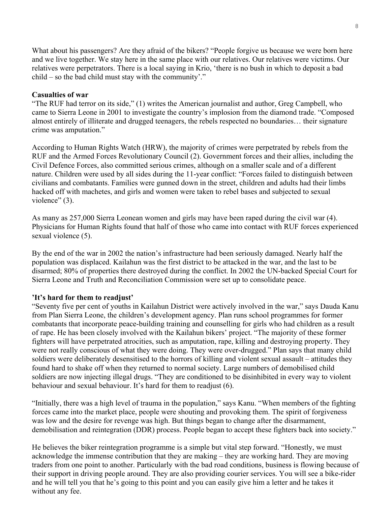What about his passengers? Are they afraid of the bikers? "People forgive us because we were born here and we live together. We stay here in the same place with our relatives. Our relatives were victims. Our relatives were perpetrators. There is a local saying in Krio, 'there is no bush in which to deposit a bad child – so the bad child must stay with the community'."

#### **Casualties of war**

"The RUF had terror on its side," (1) writes the American journalist and author, Greg Campbell, who came to Sierra Leone in 2001 to investigate the country's implosion from the diamond trade. "Composed almost entirely of illiterate and drugged teenagers, the rebels respected no boundaries… their signature crime was amputation."

According to Human Rights Watch (HRW), the majority of crimes were perpetrated by rebels from the RUF and the Armed Forces Revolutionary Council (2). Government forces and their allies, including the Civil Defence Forces, also committed serious crimes, although on a smaller scale and of a different nature. Children were used by all sides during the 11-year conflict: "Forces failed to distinguish between civilians and combatants. Families were gunned down in the street, children and adults had their limbs hacked off with machetes, and girls and women were taken to rebel bases and subjected to sexual violence" (3).

As many as 257,000 Sierra Leonean women and girls may have been raped during the civil war (4). Physicians for Human Rights found that half of those who came into contact with RUF forces experienced sexual violence (5).

By the end of the war in 2002 the nation's infrastructure had been seriously damaged. Nearly half the population was displaced. Kailahun was the first district to be attacked in the war, and the last to be disarmed; 80% of properties there destroyed during the conflict. In 2002 the UN-backed Special Court for Sierra Leone and Truth and Reconciliation Commission were set up to consolidate peace.

#### **'It's hard for them to readjust'**

"Seventy five per cent of youths in Kailahun District were actively involved in the war," says Dauda Kanu from Plan Sierra Leone, the children's development agency. Plan runs school programmes for former combatants that incorporate peace-building training and counselling for girls who had children as a result of rape. He has been closely involved with the Kailahun bikers' project. "The majority of these former fighters will have perpetrated atrocities, such as amputation, rape, killing and destroying property. They were not really conscious of what they were doing. They were over-drugged." Plan says that many child soldiers were deliberately desensitised to the horrors of killing and violent sexual assault – attitudes they found hard to shake off when they returned to normal society. Large numbers of demobilised child soldiers are now injecting illegal drugs. "They are conditioned to be disinhibited in every way to violent behaviour and sexual behaviour. It's hard for them to readjust (6).

"Initially, there was a high level of trauma in the population," says Kanu. "When members of the fighting forces came into the market place, people were shouting and provoking them. The spirit of forgiveness was low and the desire for revenge was high. But things began to change after the disarmament, demobilisation and reintegration (DDR) process. People began to accept these fighters back into society."

He believes the biker reintegration programme is a simple but vital step forward. "Honestly, we must acknowledge the immense contribution that they are making – they are working hard. They are moving traders from one point to another. Particularly with the bad road conditions, business is flowing because of their support in driving people around. They are also providing courier services. You will see a bike-rider and he will tell you that he's going to this point and you can easily give him a letter and he takes it without any fee.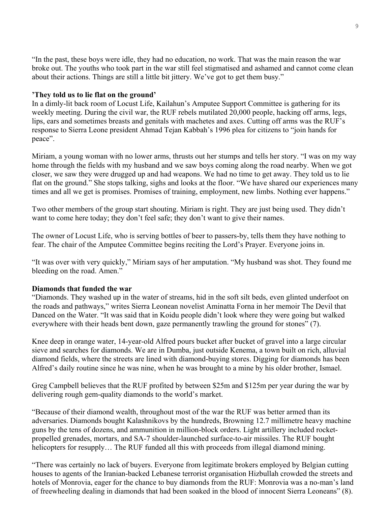"In the past, these boys were idle, they had no education, no work. That was the main reason the war broke out. The youths who took part in the war still feel stigmatised and ashamed and cannot come clean about their actions. Things are still a little bit jittery. We've got to get them busy."

#### **'They told us to lie flat on the ground'**

In a dimly-lit back room of Locust Life, Kailahun's Amputee Support Committee is gathering for its weekly meeting. During the civil war, the RUF rebels mutilated 20,000 people, hacking off arms, legs, lips, ears and sometimes breasts and genitals with machetes and axes. Cutting off arms was the RUF's response to Sierra Leone president Ahmad Tejan Kabbah's 1996 plea for citizens to "join hands for peace".

Miriam, a young woman with no lower arms, thrusts out her stumps and tells her story. "I was on my way home through the fields with my husband and we saw boys coming along the road nearby. When we got closer, we saw they were drugged up and had weapons. We had no time to get away. They told us to lie flat on the ground." She stops talking, sighs and looks at the floor. "We have shared our experiences many times and all we get is promises. Promises of training, employment, new limbs. Nothing ever happens."

Two other members of the group start shouting. Miriam is right. They are just being used. They didn't want to come here today; they don't feel safe; they don't want to give their names.

The owner of Locust Life, who is serving bottles of beer to passers-by, tells them they have nothing to fear. The chair of the Amputee Committee begins reciting the Lord's Prayer. Everyone joins in.

"It was over with very quickly," Miriam says of her amputation. "My husband was shot. They found me bleeding on the road. Amen."

#### **Diamonds that funded the war**

"Diamonds. They washed up in the water of streams, hid in the soft silt beds, even glinted underfoot on the roads and pathways," writes Sierra Leonean novelist Aminatta Forna in her memoir The Devil that Danced on the Water. "It was said that in Koidu people didn't look where they were going but walked everywhere with their heads bent down, gaze permanently trawling the ground for stones" (7).

Knee deep in orange water, 14-year-old Alfred pours bucket after bucket of gravel into a large circular sieve and searches for diamonds. We are in Dumba, just outside Kenema, a town built on rich, alluvial diamond fields, where the streets are lined with diamond-buying stores. Digging for diamonds has been Alfred's daily routine since he was nine, when he was brought to a mine by his older brother, Ismael.

Greg Campbell believes that the RUF profited by between \$25m and \$125m per year during the war by delivering rough gem-quality diamonds to the world's market.

"Because of their diamond wealth, throughout most of the war the RUF was better armed than its adversaries. Diamonds bought Kalashnikovs by the hundreds, Browning 12.7 millimetre heavy machine guns by the tens of dozens, and ammunition in million-block orders. Light artillery included rocketpropelled grenades, mortars, and SA-7 shoulder-launched surface-to-air missiles. The RUF bought helicopters for resupply... The RUF funded all this with proceeds from illegal diamond mining.

"There was certainly no lack of buyers. Everyone from legitimate brokers employed by Belgian cutting houses to agents of the Iranian-backed Lebanese terrorist organisation Hizbullah crowded the streets and hotels of Monrovia, eager for the chance to buy diamonds from the RUF: Monrovia was a no-man's land of freewheeling dealing in diamonds that had been soaked in the blood of innocent Sierra Leoneans" (8).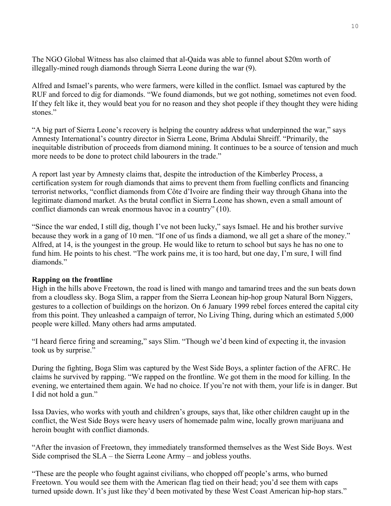The NGO Global Witness has also claimed that al-Qaida was able to funnel about \$20m worth of illegally-mined rough diamonds through Sierra Leone during the war (9).

Alfred and Ismael's parents, who were farmers, were killed in the conflict. Ismael was captured by the RUF and forced to dig for diamonds. "We found diamonds, but we got nothing, sometimes not even food. If they felt like it, they would beat you for no reason and they shot people if they thought they were hiding stones."

"A big part of Sierra Leone's recovery is helping the country address what underpinned the war," says Amnesty International's country director in Sierra Leone, Brima Abdulai Shreiff. "Primarily, the inequitable distribution of proceeds from diamond mining. It continues to be a source of tension and much more needs to be done to protect child labourers in the trade."

A report last year by Amnesty claims that, despite the introduction of the Kimberley Process, a certification system for rough diamonds that aims to prevent them from fuelling conflicts and financing terrorist networks, "conflict diamonds from Côte d'Ivoire are finding their way through Ghana into the legitimate diamond market. As the brutal conflict in Sierra Leone has shown, even a small amount of conflict diamonds can wreak enormous havoc in a country" (10).

"Since the war ended, I still dig, though I've not been lucky," says Ismael. He and his brother survive because they work in a gang of 10 men. "If one of us finds a diamond, we all get a share of the money." Alfred, at 14, is the youngest in the group. He would like to return to school but says he has no one to fund him. He points to his chest. "The work pains me, it is too hard, but one day, I'm sure, I will find diamonds."

#### **Rapping on the frontline**

High in the hills above Freetown, the road is lined with mango and tamarind trees and the sun beats down from a cloudless sky. Boga Slim, a rapper from the Sierra Leonean hip-hop group Natural Born Niggers, gestures to a collection of buildings on the horizon. On 6 January 1999 rebel forces entered the capital city from this point. They unleashed a campaign of terror, No Living Thing, during which an estimated 5,000 people were killed. Many others had arms amputated.

"I heard fierce firing and screaming," says Slim. "Though we'd been kind of expecting it, the invasion took us by surprise."

During the fighting, Boga Slim was captured by the West Side Boys, a splinter faction of the AFRC. He claims he survived by rapping. "We rapped on the frontline. We got them in the mood for killing. In the evening, we entertained them again. We had no choice. If you're not with them, your life is in danger. But I did not hold a gun."

Issa Davies, who works with youth and children's groups, says that, like other children caught up in the conflict, the West Side Boys were heavy users of homemade palm wine, locally grown marijuana and heroin bought with conflict diamonds.

"After the invasion of Freetown, they immediately transformed themselves as the West Side Boys. West Side comprised the SLA – the Sierra Leone Army – and jobless youths.

"These are the people who fought against civilians, who chopped off people's arms, who burned Freetown. You would see them with the American flag tied on their head; you'd see them with caps turned upside down. It's just like they'd been motivated by these West Coast American hip-hop stars."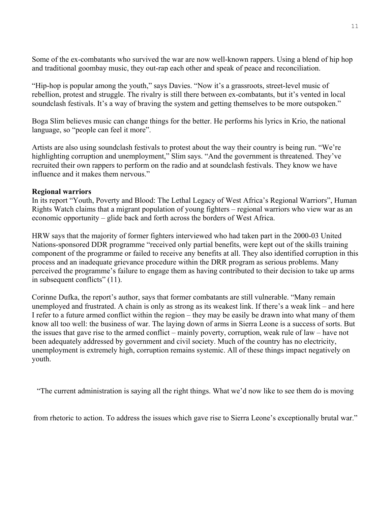Some of the ex-combatants who survived the war are now well-known rappers. Using a blend of hip hop and traditional goombay music, they out-rap each other and speak of peace and reconciliation.

"Hip-hop is popular among the youth," says Davies. "Now it's a grassroots, street-level music of rebellion, protest and struggle. The rivalry is still there between ex-combatants, but it's vented in local soundclash festivals. It's a way of braving the system and getting themselves to be more outspoken."

Boga Slim believes music can change things for the better. He performs his lyrics in Krio, the national language, so "people can feel it more".

Artists are also using soundclash festivals to protest about the way their country is being run. "We're highlighting corruption and unemployment," Slim says. "And the government is threatened. They've recruited their own rappers to perform on the radio and at soundclash festivals. They know we have influence and it makes them nervous."

#### **Regional warriors**

In its report "Youth, Poverty and Blood: The Lethal Legacy of West Africa's Regional Warriors", Human Rights Watch claims that a migrant population of young fighters – regional warriors who view war as an economic opportunity – glide back and forth across the borders of West Africa.

HRW says that the majority of former fighters interviewed who had taken part in the 2000-03 United Nations-sponsored DDR programme "received only partial benefits, were kept out of the skills training component of the programme or failed to receive any benefits at all. They also identified corruption in this process and an inadequate grievance procedure within the DRR program as serious problems. Many perceived the programme's failure to engage them as having contributed to their decision to take up arms in subsequent conflicts" (11).

Corinne Dufka, the report's author, says that former combatants are still vulnerable. "Many remain unemployed and frustrated. A chain is only as strong as its weakest link. If there's a weak link – and here I refer to a future armed conflict within the region – they may be easily be drawn into what many of them know all too well: the business of war. The laying down of arms in Sierra Leone is a success of sorts. But the issues that gave rise to the armed conflict – mainly poverty, corruption, weak rule of law – have not been adequately addressed by government and civil society. Much of the country has no electricity, unemployment is extremely high, corruption remains systemic. All of these things impact negatively on youth.

"The current administration is saying all the right things. What we'd now like to see them do is moving

from rhetoric to action. To address the issues which gave rise to Sierra Leone's exceptionally brutal war."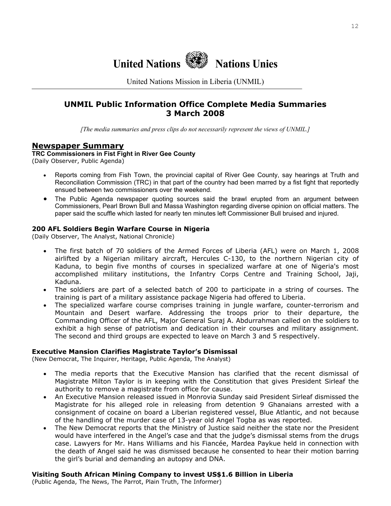

United Nations Mission in Liberia (UNMIL)

## **UNMIL Public Information Office Complete Media Summaries 3 March 2008**

*[The media summaries and press clips do not necessarily represent the views of UNMIL.]*

#### **Newspaper Summary**

**TRC Commissioners in Fist Fight in River Gee County** (Daily Observer, Public Agenda)

- Reports coming from Fish Town, the provincial capital of River Gee County, say hearings at Truth and Reconciliation Commission (TRC) in that part of the country had been marred by a fist fight that reportedly ensued between two commissioners over the weekend.
- The Public Agenda newspaper quoting sources said the brawl erupted from an argument between Commissioners, Pearl Brown Bull and Massa Washington regarding diverse opinion on official matters. The paper said the scuffle which lasted for nearly ten minutes left Commissioner Bull bruised and injured.

#### **200 AFL Soldiers Begin Warfare Course in Nigeria**

(Daily Observer, The Analyst, National Chronicle)

- The first batch of 70 soldiers of the Armed Forces of Liberia (AFL) were on March 1, 2008 airlifted by a Nigerian military aircraft, Hercules C-130, to the northern Nigerian city of Kaduna, to begin five months of courses in specialized warfare at one of Nigeria's most accomplished military institutions, the Infantry Corps Centre and Training School, Jaji, Kaduna.
- The soldiers are part of a selected batch of 200 to participate in a string of courses. The training is part of a military assistance package Nigeria had offered to Liberia.
- The specialized warfare course comprises training in jungle warfare, counter-terrorism and Mountain and Desert warfare. Addressing the troops prior to their departure, the Commanding Officer of the AFL, Major General Suraj A. Abdurrahman called on the soldiers to exhibit a high sense of patriotism and dedication in their courses and military assignment. The second and third groups are expected to leave on March 3 and 5 respectively.

#### **Executive Mansion Clarifies Magistrate Taylor's Dismissal**

(New Democrat, The Inquirer, Heritage, Public Agenda, The Analyst)

- The media reports that the Executive Mansion has clarified that the recent dismissal of Magistrate Milton Taylor is in keeping with the Constitution that gives President Sirleaf the authority to remove a magistrate from office for cause.
- An Executive Mansion released issued in Monrovia Sunday said President Sirleaf dismissed the Magistrate for his alleged role in releasing from detention 9 Ghanaians arrested with a consignment of cocaine on board a Liberian registered vessel, Blue Atlantic, and not because of the handling of the murder case of 13-year old Angel Togba as was reported.
- The New Democrat reports that the Ministry of Justice said neither the state nor the President would have interfered in the Angel's case and that the judge's dismissal stems from the drugs case. Lawyers for Mr. Hans Williams and his Fiancée, Mardea Paykue held in connection with the death of Angel said he was dismissed because he consented to hear their motion barring the girl's burial and demanding an autopsy and DNA.

#### **Visiting South African Mining Company to invest US\$1.6 Billion in Liberia**

(Public Agenda, The News, The Parrot, Plain Truth, The Informer)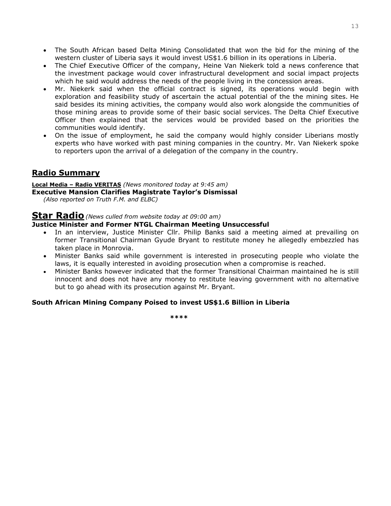- The South African based Delta Mining Consolidated that won the bid for the mining of the western cluster of Liberia says it would invest US\$1.6 billion in its operations in Liberia.
- The Chief Executive Officer of the company, Heine Van Niekerk told a news conference that the investment package would cover infrastructural development and social impact projects which he said would address the needs of the people living in the concession areas.
- Mr. Niekerk said when the official contract is signed, its operations would begin with exploration and feasibility study of ascertain the actual potential of the the mining sites. He said besides its mining activities, the company would also work alongside the communities of those mining areas to provide some of their basic social services. The Delta Chief Executive Officer then explained that the services would be provided based on the priorities the communities would identify.
- On the issue of employment, he said the company would highly consider Liberians mostly experts who have worked with past mining companies in the country. Mr. Van Niekerk spoke to reporters upon the arrival of a delegation of the company in the country.

## **Radio Summary**

#### **Local Media – Radio VERITAS** *(News monitored today at 9:45 am)*  **Executive Mansion Clarifies Magistrate Taylor's Dismissal**

*(Also reported on Truth F.M. and ELBC)* 

#### **Star Radio***(News culled from website today at 09:00 am)*

#### **Justice Minister and Former NTGL Chairman Meeting Unsuccessful**

- In an interview, Justice Minister Cllr. Philip Banks said a meeting aimed at prevailing on former Transitional Chairman Gyude Bryant to restitute money he allegedly embezzled has taken place in Monrovia.
- Minister Banks said while government is interested in prosecuting people who violate the laws, it is equally interested in avoiding prosecution when a compromise is reached.
- Minister Banks however indicated that the former Transitional Chairman maintained he is still innocent and does not have any money to restitute leaving government with no alternative but to go ahead with its prosecution against Mr. Bryant.

#### **South African Mining Company Poised to invest US\$1.6 Billion in Liberia**

 **\*\*\*\***